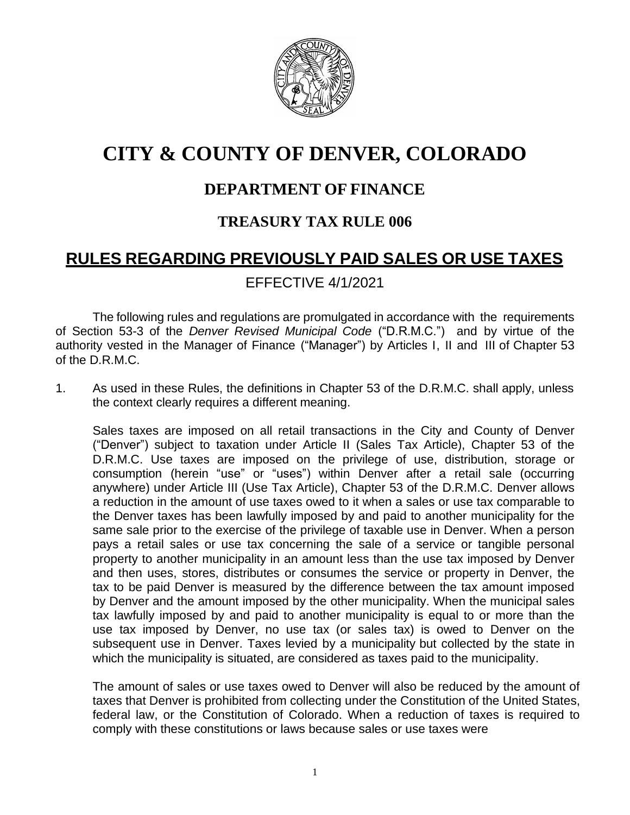

# **CITY & COUNTY OF DENVER, COLORADO**

# **DEPARTMENT OF FINANCE**

## **TREASURY TAX RULE 006**

# **RULES REGARDING PREVIOUSLY PAID SALES OR USE TAXES**

## EFFECTIVE 4/1/2021

The following rules and regulations are promulgated in accordance with the requirements of Section 53-3 of the *Denver Revised Municipal Code* ("D.R.M.C.") and by virtue of the authority vested in the Manager of Finance ("Manager") by Articles I, II and III of Chapter 53 of the D.R.M.C.

1. As used in these Rules, the definitions in Chapter 53 of the D.R.M.C. shall apply, unless the context clearly requires a different meaning.

Sales taxes are imposed on all retail transactions in the City and County of Denver ("Denver") subject to taxation under Article II (Sales Tax Article), Chapter 53 of the D.R.M.C. Use taxes are imposed on the privilege of use, distribution, storage or consumption (herein "use" or "uses") within Denver after a retail sale (occurring anywhere) under Article III (Use Tax Article), Chapter 53 of the D.R.M.C. Denver allows a reduction in the amount of use taxes owed to it when a sales or use tax comparable to the Denver taxes has been lawfully imposed by and paid to another municipality for the same sale prior to the exercise of the privilege of taxable use in Denver. When a person pays a retail sales or use tax concerning the sale of a service or tangible personal property to another municipality in an amount less than the use tax imposed by Denver and then uses, stores, distributes or consumes the service or property in Denver, the tax to be paid Denver is measured by the difference between the tax amount imposed by Denver and the amount imposed by the other municipality. When the municipal sales tax lawfully imposed by and paid to another municipality is equal to or more than the use tax imposed by Denver, no use tax (or sales tax) is owed to Denver on the subsequent use in Denver. Taxes levied by a municipality but collected by the state in which the municipality is situated, are considered as taxes paid to the municipality.

The amount of sales or use taxes owed to Denver will also be reduced by the amount of taxes that Denver is prohibited from collecting under the Constitution of the United States, federal law, or the Constitution of Colorado. When a reduction of taxes is required to comply with these constitutions or laws because sales or use taxes were